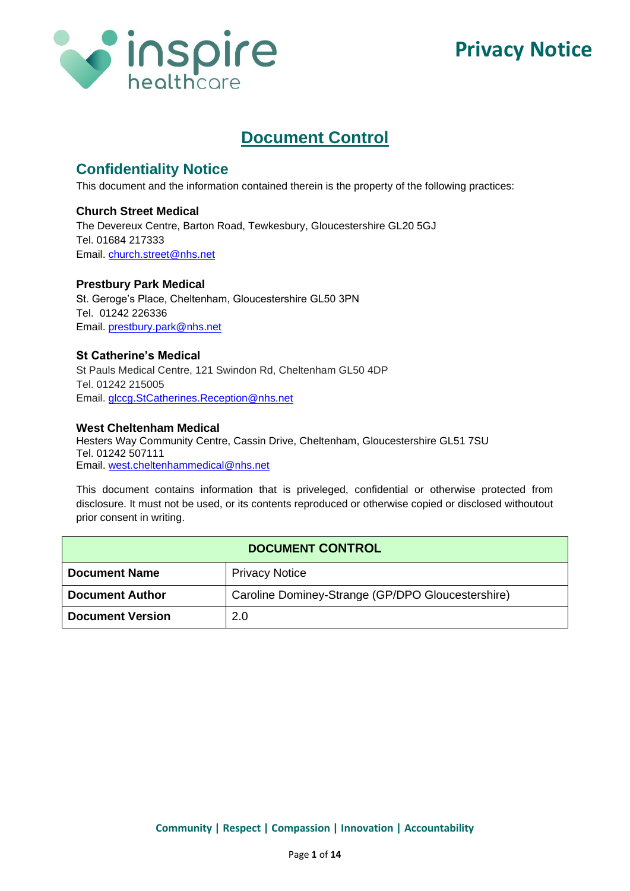

# **Document Control**

# **Confidentiality Notice**

This document and the information contained therein is the property of the following practices:

### **Church Street Medical**

The Devereux Centre, Barton Road, Tewkesbury, Gloucestershire GL20 5GJ Tel. 01684 217333 Email. [church.street@nhs.net](mailto:church.street@nhs.net)

#### **Prestbury Park Medical**

St. Geroge's Place, Cheltenham, Gloucestershire GL50 3PN Tel. 01242 226336 Email. [prestbury.park@nhs.net](mailto:prestbury.park@nhs.net)

#### **St Catherine's Medical**

St Pauls Medical Centre, 121 Swindon Rd, Cheltenham GL50 4DP Tel. 01242 215005 Email. [glccg.StCatherines.Reception@nhs.net](mailto:glccg.StCatherines.Reception@nhs.net)

#### **West Cheltenham Medical**

Hesters Way Community Centre, Cassin Drive, Cheltenham, Gloucestershire GL51 7SU Tel. 01242 507111 Email. [west.cheltenhammedical@nhs.net](mailto:west.cheltenhammedical@nhs.net)

This document contains information that is priveleged, confidential or otherwise protected from disclosure. It must not be used, or its contents reproduced or otherwise copied or disclosed withoutout prior consent in writing.

| <b>DOCUMENT CONTROL</b> |                                                   |
|-------------------------|---------------------------------------------------|
| <b>Document Name</b>    | <b>Privacy Notice</b>                             |
| <b>Document Author</b>  | Caroline Dominey-Strange (GP/DPO Gloucestershire) |
| <b>Document Version</b> | 2.0                                               |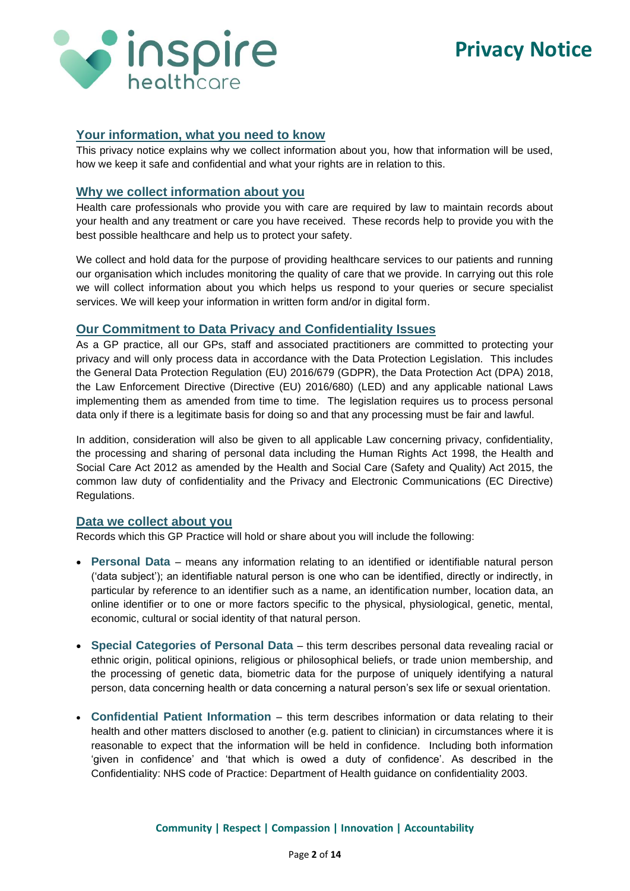

#### **Your information, what you need to know**

This privacy notice explains why we collect information about you, how that information will be used, how we keep it safe and confidential and what your rights are in relation to this.

#### **Why we collect information about you**

Health care professionals who provide you with care are required by law to maintain records about your health and any treatment or care you have received. These records help to provide you with the best possible healthcare and help us to protect your safety.

We collect and hold data for the purpose of providing healthcare services to our patients and running our organisation which includes monitoring the quality of care that we provide. In carrying out this role we will collect information about you which helps us respond to your queries or secure specialist services. We will keep your information in written form and/or in digital form.

### **Our Commitment to Data Privacy and Confidentiality Issues**

As a GP practice, all our GPs, staff and associated practitioners are committed to protecting your privacy and will only process data in accordance with the Data Protection Legislation. This includes the General Data Protection Regulation (EU) 2016/679 (GDPR), the Data Protection Act (DPA) 2018, the Law Enforcement Directive (Directive (EU) 2016/680) (LED) and any applicable national Laws implementing them as amended from time to time. The legislation requires us to process personal data only if there is a legitimate basis for doing so and that any processing must be fair and lawful.

In addition, consideration will also be given to all applicable Law concerning privacy, confidentiality, the processing and sharing of personal data including the Human Rights Act 1998, the Health and Social Care Act 2012 as amended by the Health and Social Care (Safety and Quality) Act 2015, the common law duty of confidentiality and the Privacy and Electronic Communications (EC Directive) Regulations.

#### **Data we collect about you**

Records which this GP Practice will hold or share about you will include the following:

- **Personal Data** means any information relating to an identified or identifiable natural person ('data subject'); an identifiable natural person is one who can be identified, directly or indirectly, in particular by reference to an identifier such as a name, an identification number, location data, an online identifier or to one or more factors specific to the physical, physiological, genetic, mental, economic, cultural or social identity of that natural person.
- **Special Categories of Personal Data** this term describes personal data revealing racial or ethnic origin, political opinions, religious or philosophical beliefs, or trade union membership, and the processing of genetic data, biometric data for the purpose of uniquely identifying a natural person, data concerning health or data concerning a natural person's sex life or sexual orientation.
- **Confidential Patient Information**  this term describes information or data relating to their health and other matters disclosed to another (e.g. patient to clinician) in circumstances where it is reasonable to expect that the information will be held in confidence. Including both information 'given in confidence' and 'that which is owed a duty of confidence'. As described in the Confidentiality: NHS code of Practice: Department of Health guidance on confidentiality 2003.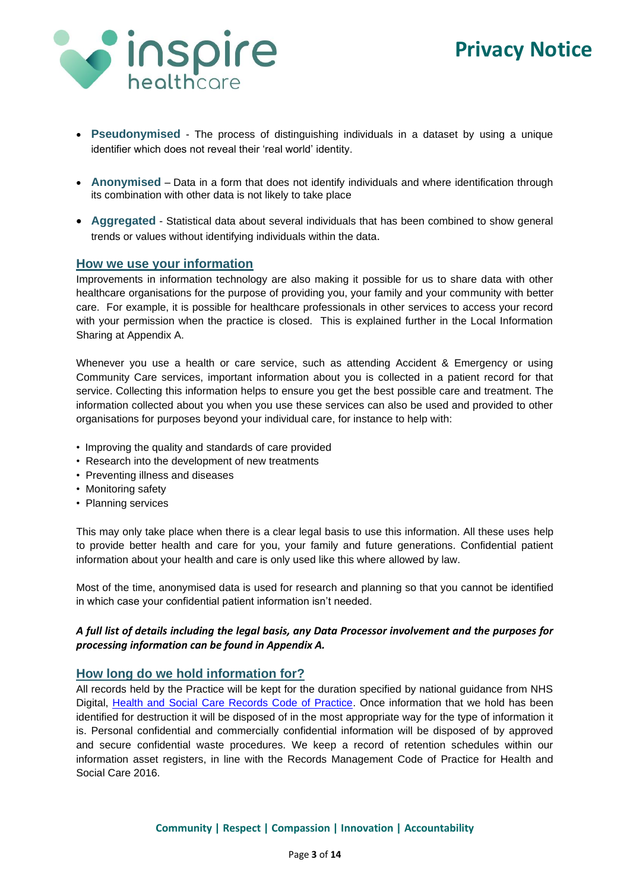

- **Pseudonymised** The process of distinguishing individuals in a dataset by using a unique identifier which does not reveal their 'real world' identity.
- **Anonymised** Data in a form that does not identify individuals and where identification through its combination with other data is not likely to take place
- **Aggregated** Statistical data about several individuals that has been combined to show general trends or values without identifying individuals within the data.

#### **How we use your information**

Improvements in information technology are also making it possible for us to share data with other healthcare organisations for the purpose of providing you, your family and your community with better care. For example, it is possible for healthcare professionals in other services to access your record with your permission when the practice is closed. This is explained further in the Local Information Sharing at Appendix A.

Whenever you use a health or care service, such as attending Accident & Emergency or using Community Care services, important information about you is collected in a patient record for that service. Collecting this information helps to ensure you get the best possible care and treatment. The information collected about you when you use these services can also be used and provided to other organisations for purposes beyond your individual care, for instance to help with:

- Improving the quality and standards of care provided
- Research into the development of new treatments
- Preventing illness and diseases
- Monitoring safety
- Planning services

This may only take place when there is a clear legal basis to use this information. All these uses help to provide better health and care for you, your family and future generations. Confidential patient information about your health and care is only used like this where allowed by law.

Most of the time, anonymised data is used for research and planning so that you cannot be identified in which case your confidential patient information isn't needed.

#### *A full list of details including the legal basis, any Data Processor involvement and the purposes for processing information can be found in Appendix A.*

#### **How long do we hold information for?**

All records held by the Practice will be kept for the duration specified by national guidance from NHS Digital, [Health and Social Care Records Code of Practice.](https://digital.nhs.uk/data-and-information/looking-after-information/data-security-and-information-governance/codes-of-practice-for-handling-information-in-health-and-care/records-management-code-of-practice-for-health-and-social-care-2016) Once information that we hold has been identified for destruction it will be disposed of in the most appropriate way for the type of information it is. Personal confidential and commercially confidential information will be disposed of by approved and secure confidential waste procedures. We keep a record of retention schedules within our information asset registers, in line with the Records Management Code of Practice for Health and Social Care 2016.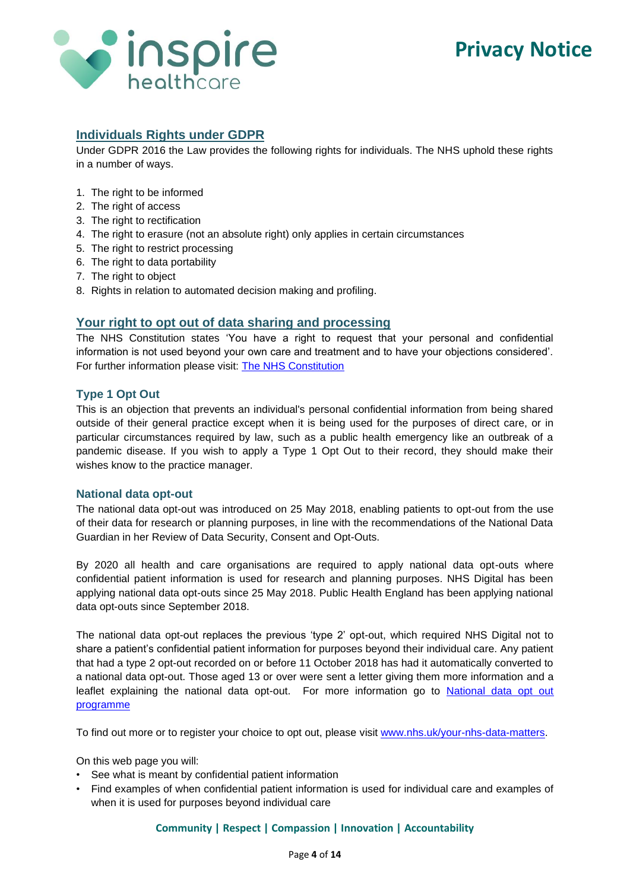

### **Individuals Rights under GDPR**

Under GDPR 2016 the Law provides the following rights for individuals. The NHS uphold these rights in a number of ways.

- 1. The right to be informed
- 2. The right of access
- 3. The right to rectification
- 4. The right to erasure (not an absolute right) only applies in certain circumstances
- 5. The right to restrict processing
- 6. The right to data portability
- 7. The right to object
- 8. Rights in relation to automated decision making and profiling.

#### **Your right to opt out of data sharing and processing**

The NHS Constitution states 'You have a right to request that your personal and confidential information is not used beyond your own care and treatment and to have your objections considered'. For further information please visit: [The NHS Constitution](https://www.gov.uk/government/publications/the-nhsconstitution-for-england)

#### **Type 1 Opt Out**

This is an objection that prevents an individual's personal confidential information from being shared outside of their general practice except when it is being used for the purposes of direct care, or in particular circumstances required by law, such as a public health emergency like an outbreak of a pandemic disease. If you wish to apply a Type 1 Opt Out to their record, they should make their wishes know to the practice manager.

#### **National data opt-out**

The national data opt-out was introduced on 25 May 2018, enabling patients to opt-out from the use of their data for research or planning purposes, in line with the recommendations of the National Data Guardian in her Review of Data Security, Consent and Opt-Outs.

By 2020 all health and care organisations are required to apply national data opt-outs where confidential patient information is used for research and planning purposes. NHS Digital has been applying national data opt-outs since 25 May 2018. Public Health England has been applying national data opt-outs since September 2018.

The national data opt-out replaces the previous 'type 2' opt-out, which required NHS Digital not to share a patient's confidential patient information for purposes beyond their individual care. Any patient that had a type 2 opt-out recorded on or before 11 October 2018 has had it automatically converted to a national data opt-out. Those aged 13 or over were sent a letter giving them more information and a leaflet explaining the national data opt-out. For more information go to [National data opt out](https://digital.nhs.uk/services/national-data-opt-out-programme)  [programme](https://digital.nhs.uk/services/national-data-opt-out-programme)

To find out more or to register your choice to opt out, please visit [www.nhs.uk/your-nhs-data-matters.](http://www.nhs.uk/your-nhs-data-matters)

On this web page you will:

- See what is meant by confidential patient information
- Find examples of when confidential patient information is used for individual care and examples of when it is used for purposes beyond individual care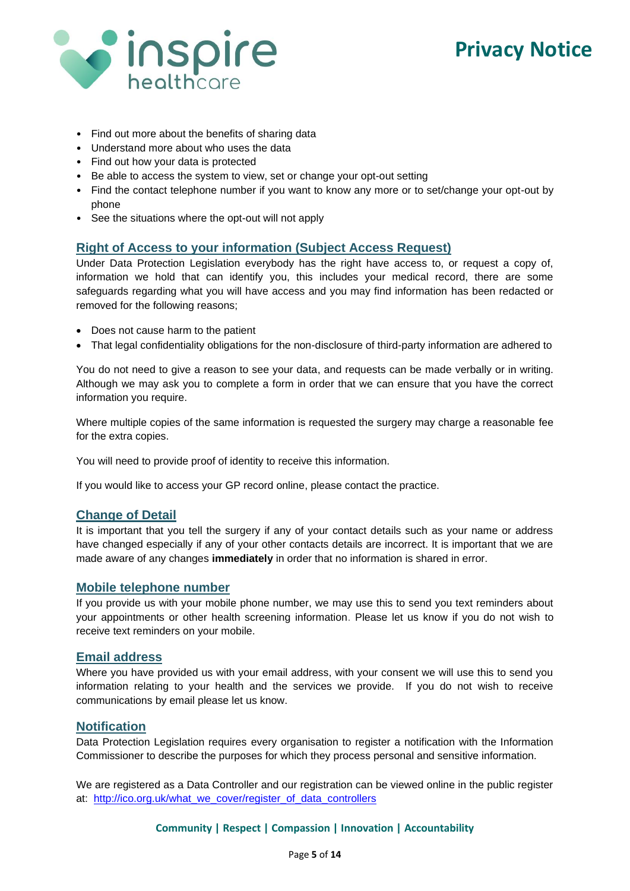

- Find out more about the benefits of sharing data
- Understand more about who uses the data
- Find out how your data is protected
- Be able to access the system to view, set or change your opt-out setting
- Find the contact telephone number if you want to know any more or to set/change your opt-out by phone
- See the situations where the opt-out will not apply

#### **Right of Access to your information (Subject Access Request)**

Under Data Protection Legislation everybody has the right have access to, or request a copy of, information we hold that can identify you, this includes your medical record, there are some safeguards regarding what you will have access and you may find information has been redacted or removed for the following reasons;

- Does not cause harm to the patient
- That legal confidentiality obligations for the non-disclosure of third-party information are adhered to

You do not need to give a reason to see your data, and requests can be made verbally or in writing. Although we may ask you to complete a form in order that we can ensure that you have the correct information you require.

Where multiple copies of the same information is requested the surgery may charge a reasonable fee for the extra copies.

You will need to provide proof of identity to receive this information.

If you would like to access your GP record online, please contact the practice.

### **Change of Detail**

It is important that you tell the surgery if any of your contact details such as your name or address have changed especially if any of your other contacts details are incorrect. It is important that we are made aware of any changes **immediately** in order that no information is shared in error.

#### **Mobile telephone number**

If you provide us with your mobile phone number, we may use this to send you text reminders about your appointments or other health screening information. Please let us know if you do not wish to receive text reminders on your mobile.

#### **Email address**

Where you have provided us with your email address, with your consent we will use this to send you information relating to your health and the services we provide. If you do not wish to receive communications by email please let us know.

#### **Notification**

Data Protection Legislation requires every organisation to register a notification with the Information Commissioner to describe the purposes for which they process personal and sensitive information.

We are registered as a Data Controller and our registration can be viewed online in the public register at: [http://ico.org.uk/what\\_we\\_cover/register\\_of\\_data\\_controllers](http://ico.org.uk/what_we_cover/register_of_data_controllers)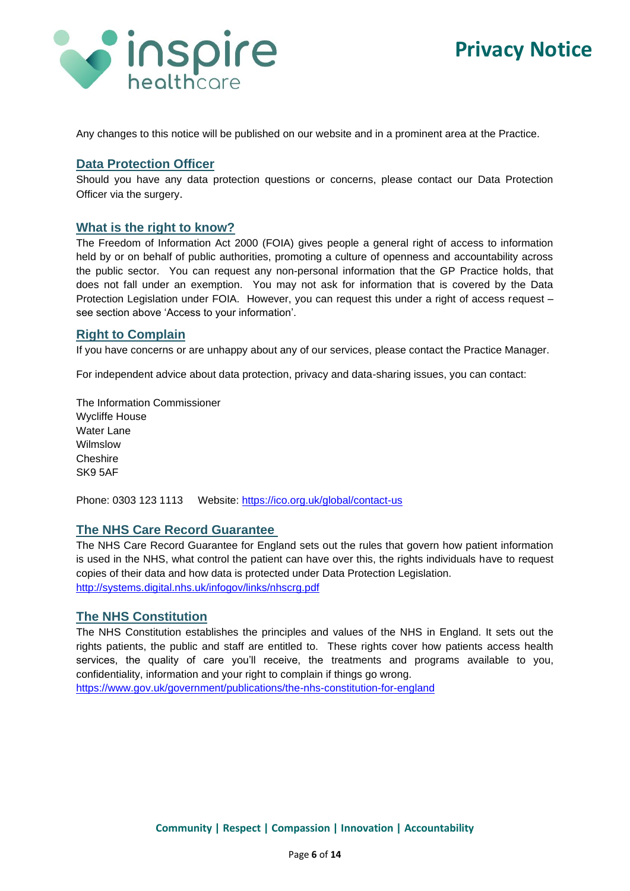

Any changes to this notice will be published on our website and in a prominent area at the Practice.

### **Data Protection Officer**

Should you have any data protection questions or concerns, please contact our Data Protection Officer via the surgery.

#### **What is the right to know?**

The Freedom of Information Act 2000 (FOIA) gives people a general right of access to information held by or on behalf of public authorities, promoting a culture of openness and accountability across the public sector. You can request any non-personal information that the GP Practice holds, that does not fall under an exemption. You may not ask for information that is covered by the Data Protection Legislation under FOIA. However, you can request this under a right of access request – see section above 'Access to your information'.

#### **Right to Complain**

If you have concerns or are unhappy about any of our services, please contact the Practice Manager.

For independent advice about data protection, privacy and data-sharing issues, you can contact:

The Information Commissioner Wycliffe House Water Lane Wilmslow Cheshire SK9 5AF

Phone: 0303 123 1113 Website:<https://ico.org.uk/global/contact-us>

#### **The NHS Care Record Guarantee**

The NHS Care Record Guarantee for England sets out the rules that govern how patient information is used in the NHS, what control the patient can have over this, the rights individuals have to request copies of their data and how data is protected under Data Protection Legislation. <http://systems.digital.nhs.uk/infogov/links/nhscrg.pdf>

#### **The NHS Constitution**

The NHS Constitution establishes the principles and values of the NHS in England. It sets out the rights patients, the public and staff are entitled to. These rights cover how patients access health services, the quality of care you'll receive, the treatments and programs available to you, confidentiality, information and your right to complain if things go wrong.

<https://www.gov.uk/government/publications/the-nhs-constitution-for-england>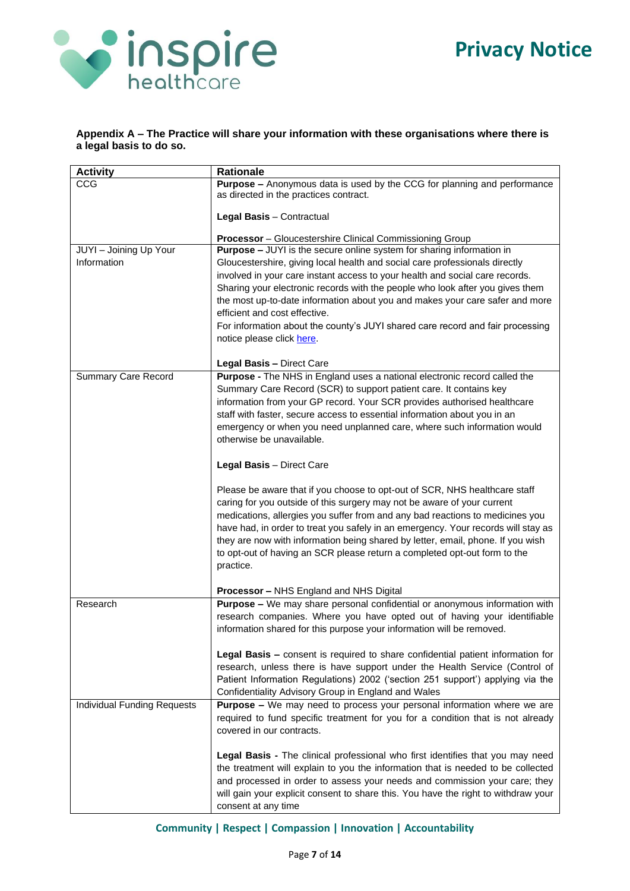

#### **Appendix A – The Practice will share your information with these organisations where there is a legal basis to do so.**

| <b>Activity</b>                    | <b>Rationale</b>                                                                                                                                                                                                                                                                                                                                                                                                                                                                                         |
|------------------------------------|----------------------------------------------------------------------------------------------------------------------------------------------------------------------------------------------------------------------------------------------------------------------------------------------------------------------------------------------------------------------------------------------------------------------------------------------------------------------------------------------------------|
| <b>CCG</b>                         | <b>Purpose -</b> Anonymous data is used by the CCG for planning and performance<br>as directed in the practices contract.                                                                                                                                                                                                                                                                                                                                                                                |
|                                    | Legal Basis - Contractual                                                                                                                                                                                                                                                                                                                                                                                                                                                                                |
|                                    | <b>Processor</b> - Gloucestershire Clinical Commissioning Group                                                                                                                                                                                                                                                                                                                                                                                                                                          |
| JUYI - Joining Up Your             | <b>Purpose - JUYI</b> is the secure online system for sharing information in                                                                                                                                                                                                                                                                                                                                                                                                                             |
| Information                        | Gloucestershire, giving local health and social care professionals directly                                                                                                                                                                                                                                                                                                                                                                                                                              |
|                                    | involved in your care instant access to your health and social care records.                                                                                                                                                                                                                                                                                                                                                                                                                             |
|                                    | Sharing your electronic records with the people who look after you gives them                                                                                                                                                                                                                                                                                                                                                                                                                            |
|                                    | the most up-to-date information about you and makes your care safer and more<br>efficient and cost effective.                                                                                                                                                                                                                                                                                                                                                                                            |
|                                    | For information about the county's JUYI shared care record and fair processing                                                                                                                                                                                                                                                                                                                                                                                                                           |
|                                    | notice please click here.                                                                                                                                                                                                                                                                                                                                                                                                                                                                                |
|                                    | Legal Basis - Direct Care                                                                                                                                                                                                                                                                                                                                                                                                                                                                                |
| <b>Summary Care Record</b>         | Purpose - The NHS in England uses a national electronic record called the                                                                                                                                                                                                                                                                                                                                                                                                                                |
|                                    | Summary Care Record (SCR) to support patient care. It contains key<br>information from your GP record. Your SCR provides authorised healthcare                                                                                                                                                                                                                                                                                                                                                           |
|                                    | staff with faster, secure access to essential information about you in an                                                                                                                                                                                                                                                                                                                                                                                                                                |
|                                    | emergency or when you need unplanned care, where such information would                                                                                                                                                                                                                                                                                                                                                                                                                                  |
|                                    | otherwise be unavailable.                                                                                                                                                                                                                                                                                                                                                                                                                                                                                |
|                                    | Legal Basis - Direct Care                                                                                                                                                                                                                                                                                                                                                                                                                                                                                |
|                                    | Please be aware that if you choose to opt-out of SCR, NHS healthcare staff<br>caring for you outside of this surgery may not be aware of your current<br>medications, allergies you suffer from and any bad reactions to medicines you<br>have had, in order to treat you safely in an emergency. Your records will stay as<br>they are now with information being shared by letter, email, phone. If you wish<br>to opt-out of having an SCR please return a completed opt-out form to the<br>practice. |
|                                    | Processor - NHS England and NHS Digital                                                                                                                                                                                                                                                                                                                                                                                                                                                                  |
| Research                           | Purpose - We may share personal confidential or anonymous information with                                                                                                                                                                                                                                                                                                                                                                                                                               |
|                                    | research companies. Where you have opted out of having your identifiable<br>information shared for this purpose your information will be removed.                                                                                                                                                                                                                                                                                                                                                        |
|                                    | Legal Basis - consent is required to share confidential patient information for                                                                                                                                                                                                                                                                                                                                                                                                                          |
|                                    | research, unless there is have support under the Health Service (Control of                                                                                                                                                                                                                                                                                                                                                                                                                              |
|                                    | Patient Information Regulations) 2002 ('section 251 support') applying via the                                                                                                                                                                                                                                                                                                                                                                                                                           |
|                                    | Confidentiality Advisory Group in England and Wales                                                                                                                                                                                                                                                                                                                                                                                                                                                      |
| <b>Individual Funding Requests</b> | <b>Purpose -</b> We may need to process your personal information where we are                                                                                                                                                                                                                                                                                                                                                                                                                           |
|                                    | required to fund specific treatment for you for a condition that is not already<br>covered in our contracts.                                                                                                                                                                                                                                                                                                                                                                                             |
|                                    | <b>Legal Basis -</b> The clinical professional who first identifies that you may need                                                                                                                                                                                                                                                                                                                                                                                                                    |
|                                    | the treatment will explain to you the information that is needed to be collected                                                                                                                                                                                                                                                                                                                                                                                                                         |
|                                    | and processed in order to assess your needs and commission your care; they                                                                                                                                                                                                                                                                                                                                                                                                                               |
|                                    | will gain your explicit consent to share this. You have the right to withdraw your                                                                                                                                                                                                                                                                                                                                                                                                                       |
|                                    | consent at any time                                                                                                                                                                                                                                                                                                                                                                                                                                                                                      |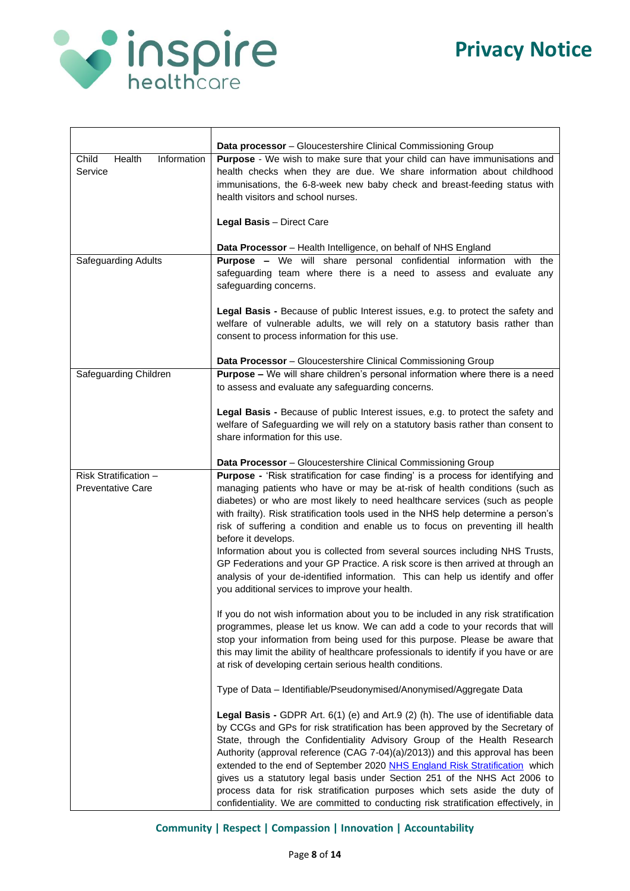

 $\overline{\phantom{a}}$ 

|                                                   | Data processor - Gloucestershire Clinical Commissioning Group                                                                                                                                                                                                                                                                                                                                                                                                                                                                                                                                                                                                                                                                                           |
|---------------------------------------------------|---------------------------------------------------------------------------------------------------------------------------------------------------------------------------------------------------------------------------------------------------------------------------------------------------------------------------------------------------------------------------------------------------------------------------------------------------------------------------------------------------------------------------------------------------------------------------------------------------------------------------------------------------------------------------------------------------------------------------------------------------------|
| Information<br>Child<br>Health<br>Service         | Purpose - We wish to make sure that your child can have immunisations and<br>health checks when they are due. We share information about childhood<br>immunisations, the 6-8-week new baby check and breast-feeding status with<br>health visitors and school nurses.                                                                                                                                                                                                                                                                                                                                                                                                                                                                                   |
|                                                   | Legal Basis - Direct Care                                                                                                                                                                                                                                                                                                                                                                                                                                                                                                                                                                                                                                                                                                                               |
|                                                   | <b>Data Processor</b> – Health Intelligence, on behalf of NHS England                                                                                                                                                                                                                                                                                                                                                                                                                                                                                                                                                                                                                                                                                   |
| Safeguarding Adults                               | Purpose - We will share personal confidential information with the<br>safeguarding team where there is a need to assess and evaluate any<br>safeguarding concerns.                                                                                                                                                                                                                                                                                                                                                                                                                                                                                                                                                                                      |
|                                                   | Legal Basis - Because of public Interest issues, e.g. to protect the safety and<br>welfare of vulnerable adults, we will rely on a statutory basis rather than<br>consent to process information for this use.                                                                                                                                                                                                                                                                                                                                                                                                                                                                                                                                          |
|                                                   |                                                                                                                                                                                                                                                                                                                                                                                                                                                                                                                                                                                                                                                                                                                                                         |
| Safeguarding Children                             | Data Processor - Gloucestershire Clinical Commissioning Group<br>Purpose - We will share children's personal information where there is a need<br>to assess and evaluate any safeguarding concerns.                                                                                                                                                                                                                                                                                                                                                                                                                                                                                                                                                     |
|                                                   | Legal Basis - Because of public Interest issues, e.g. to protect the safety and<br>welfare of Safeguarding we will rely on a statutory basis rather than consent to<br>share information for this use.                                                                                                                                                                                                                                                                                                                                                                                                                                                                                                                                                  |
|                                                   | Data Processor - Gloucestershire Clinical Commissioning Group                                                                                                                                                                                                                                                                                                                                                                                                                                                                                                                                                                                                                                                                                           |
| Risk Stratification -<br><b>Preventative Care</b> | Purpose - 'Risk stratification for case finding' is a process for identifying and<br>managing patients who have or may be at-risk of health conditions (such as<br>diabetes) or who are most likely to need healthcare services (such as people<br>with frailty). Risk stratification tools used in the NHS help determine a person's<br>risk of suffering a condition and enable us to focus on preventing ill health<br>before it develops.<br>Information about you is collected from several sources including NHS Trusts,<br>GP Federations and your GP Practice. A risk score is then arrived at through an<br>analysis of your de-identified information. This can help us identify and offer<br>you additional services to improve your health. |
|                                                   | If you do not wish information about you to be included in any risk stratification<br>programmes, please let us know. We can add a code to your records that will<br>stop your information from being used for this purpose. Please be aware that<br>this may limit the ability of healthcare professionals to identify if you have or are<br>at risk of developing certain serious health conditions.                                                                                                                                                                                                                                                                                                                                                  |
|                                                   | Type of Data - Identifiable/Pseudonymised/Anonymised/Aggregate Data                                                                                                                                                                                                                                                                                                                                                                                                                                                                                                                                                                                                                                                                                     |
|                                                   | Legal Basis - GDPR Art. 6(1) (e) and Art.9 (2) (h). The use of identifiable data<br>by CCGs and GPs for risk stratification has been approved by the Secretary of<br>State, through the Confidentiality Advisory Group of the Health Research<br>Authority (approval reference (CAG 7-04)(a)/2013)) and this approval has been<br>extended to the end of September 2020 NHS England Risk Stratification which<br>gives us a statutory legal basis under Section 251 of the NHS Act 2006 to<br>process data for risk stratification purposes which sets aside the duty of<br>confidentiality. We are committed to conducting risk stratification effectively, in                                                                                         |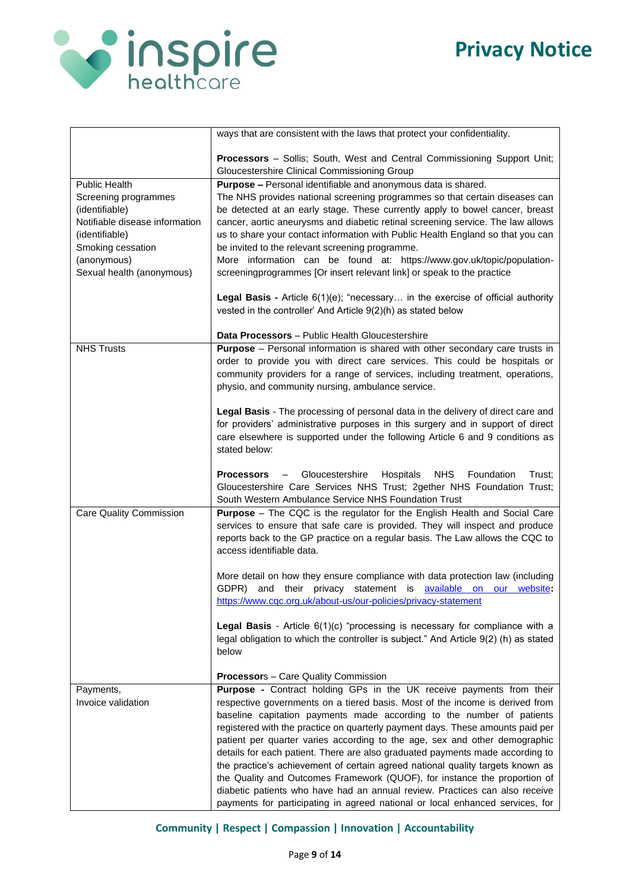

|                                                  | ways that are consistent with the laws that protect your confidentiality.                                                                                   |
|--------------------------------------------------|-------------------------------------------------------------------------------------------------------------------------------------------------------------|
|                                                  |                                                                                                                                                             |
|                                                  | <b>Processors</b> - Sollis; South, West and Central Commissioning Support Unit;                                                                             |
| Public Health                                    | Gloucestershire Clinical Commissioning Group                                                                                                                |
|                                                  | Purpose - Personal identifiable and anonymous data is shared.                                                                                               |
| Screening programmes                             | The NHS provides national screening programmes so that certain diseases can<br>be detected at an early stage. These currently apply to bowel cancer, breast |
| (identifiable)<br>Notifiable disease information | cancer, aortic aneurysms and diabetic retinal screening service. The law allows                                                                             |
| (identifiable)                                   | us to share your contact information with Public Health England so that you can                                                                             |
| Smoking cessation                                | be invited to the relevant screening programme.                                                                                                             |
| (anonymous)                                      | More information can be found at: https://www.gov.uk/topic/population-                                                                                      |
| Sexual health (anonymous)                        | screeningprogrammes [Or insert relevant link] or speak to the practice                                                                                      |
|                                                  |                                                                                                                                                             |
|                                                  | <b>Legal Basis -</b> Article $6(1)(e)$ ; "necessary in the exercise of official authority                                                                   |
|                                                  | vested in the controller' And Article 9(2)(h) as stated below                                                                                               |
|                                                  |                                                                                                                                                             |
| <b>NHS Trusts</b>                                | Data Processors - Public Health Gloucestershire<br><b>Purpose</b> - Personal information is shared with other secondary care trusts in                      |
|                                                  | order to provide you with direct care services. This could be hospitals or                                                                                  |
|                                                  | community providers for a range of services, including treatment, operations,                                                                               |
|                                                  | physio, and community nursing, ambulance service.                                                                                                           |
|                                                  |                                                                                                                                                             |
|                                                  | Legal Basis - The processing of personal data in the delivery of direct care and                                                                            |
|                                                  | for providers' administrative purposes in this surgery and in support of direct                                                                             |
|                                                  | care elsewhere is supported under the following Article 6 and 9 conditions as                                                                               |
|                                                  | stated below:                                                                                                                                               |
|                                                  | <b>NHS</b><br><b>Processors</b> - Gloucestershire<br>Hospitals<br>Foundation<br>Trust:                                                                      |
|                                                  | Gloucestershire Care Services NHS Trust; 2gether NHS Foundation Trust;                                                                                      |
|                                                  | South Western Ambulance Service NHS Foundation Trust                                                                                                        |
| <b>Care Quality Commission</b>                   | <b>Purpose</b> – The CQC is the regulator for the English Health and Social Care                                                                            |
|                                                  | services to ensure that safe care is provided. They will inspect and produce                                                                                |
|                                                  | reports back to the GP practice on a regular basis. The Law allows the CQC to                                                                               |
|                                                  | access identifiable data.                                                                                                                                   |
|                                                  | More detail on how they ensure compliance with data protection law (including                                                                               |
|                                                  | and their privacy statement is available on our website:<br>GDPR)                                                                                           |
|                                                  | https://www.cqc.org.uk/about-us/our-policies/privacy-statement                                                                                              |
|                                                  |                                                                                                                                                             |
|                                                  | <b>Legal Basis</b> - Article $6(1)(c)$ "processing is necessary for compliance with a                                                                       |
|                                                  | legal obligation to which the controller is subject." And Article 9(2) (h) as stated                                                                        |
|                                                  | below                                                                                                                                                       |
|                                                  | <b>Processor</b> s - Care Quality Commission                                                                                                                |
| Payments,                                        | Purpose - Contract holding GPs in the UK receive payments from their                                                                                        |
| Invoice validation                               | respective governments on a tiered basis. Most of the income is derived from                                                                                |
|                                                  | baseline capitation payments made according to the number of patients                                                                                       |
|                                                  | registered with the practice on quarterly payment days. These amounts paid per                                                                              |
|                                                  | patient per quarter varies according to the age, sex and other demographic                                                                                  |
|                                                  | details for each patient. There are also graduated payments made according to                                                                               |
|                                                  | the practice's achievement of certain agreed national quality targets known as                                                                              |
|                                                  | the Quality and Outcomes Framework (QUOF), for instance the proportion of                                                                                   |
|                                                  | diabetic patients who have had an annual review. Practices can also receive                                                                                 |
|                                                  | payments for participating in agreed national or local enhanced services, for                                                                               |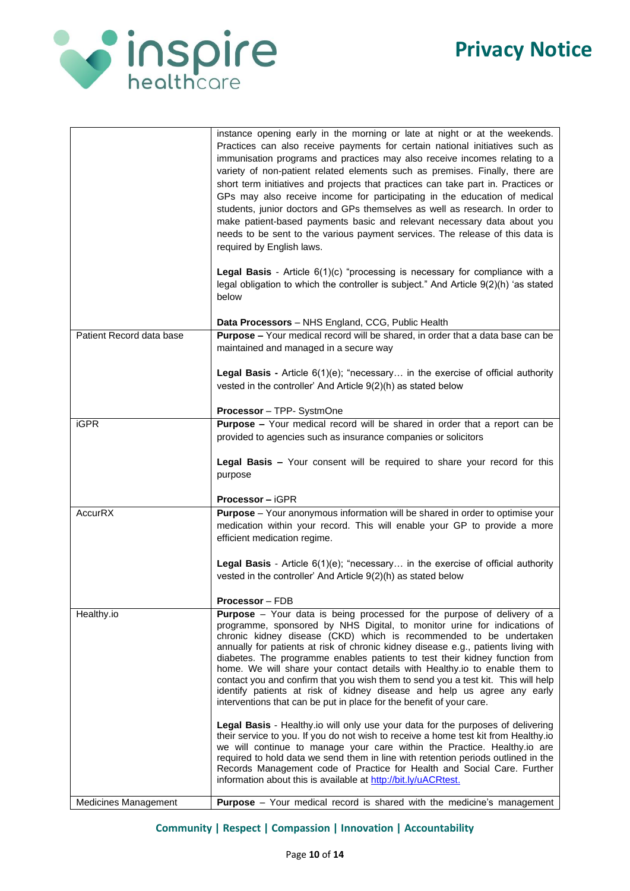

|                          | instance opening early in the morning or late at night or at the weekends.<br>Practices can also receive payments for certain national initiatives such as<br>immunisation programs and practices may also receive incomes relating to a<br>variety of non-patient related elements such as premises. Finally, there are<br>short term initiatives and projects that practices can take part in. Practices or<br>GPs may also receive income for participating in the education of medical<br>students, junior doctors and GPs themselves as well as research. In order to<br>make patient-based payments basic and relevant necessary data about you<br>needs to be sent to the various payment services. The release of this data is<br>required by English laws.<br>Legal Basis - Article 6(1)(c) "processing is necessary for compliance with a<br>legal obligation to which the controller is subject." And Article 9(2)(h) 'as stated<br>below<br>Data Processors - NHS England, CCG, Public Health |
|--------------------------|-----------------------------------------------------------------------------------------------------------------------------------------------------------------------------------------------------------------------------------------------------------------------------------------------------------------------------------------------------------------------------------------------------------------------------------------------------------------------------------------------------------------------------------------------------------------------------------------------------------------------------------------------------------------------------------------------------------------------------------------------------------------------------------------------------------------------------------------------------------------------------------------------------------------------------------------------------------------------------------------------------------|
| Patient Record data base | Purpose - Your medical record will be shared, in order that a data base can be                                                                                                                                                                                                                                                                                                                                                                                                                                                                                                                                                                                                                                                                                                                                                                                                                                                                                                                            |
|                          | maintained and managed in a secure way                                                                                                                                                                                                                                                                                                                                                                                                                                                                                                                                                                                                                                                                                                                                                                                                                                                                                                                                                                    |
|                          | <b>Legal Basis -</b> Article $6(1)(e)$ ; "necessary in the exercise of official authority<br>vested in the controller' And Article 9(2)(h) as stated below                                                                                                                                                                                                                                                                                                                                                                                                                                                                                                                                                                                                                                                                                                                                                                                                                                                |
|                          | Processor - TPP- SystmOne                                                                                                                                                                                                                                                                                                                                                                                                                                                                                                                                                                                                                                                                                                                                                                                                                                                                                                                                                                                 |
| <b>iGPR</b>              | Purpose - Your medical record will be shared in order that a report can be<br>provided to agencies such as insurance companies or solicitors                                                                                                                                                                                                                                                                                                                                                                                                                                                                                                                                                                                                                                                                                                                                                                                                                                                              |
|                          | Legal Basis - Your consent will be required to share your record for this<br>purpose                                                                                                                                                                                                                                                                                                                                                                                                                                                                                                                                                                                                                                                                                                                                                                                                                                                                                                                      |
|                          | <b>Processor - iGPR</b>                                                                                                                                                                                                                                                                                                                                                                                                                                                                                                                                                                                                                                                                                                                                                                                                                                                                                                                                                                                   |
| <b>AccurRX</b>           | Purpose - Your anonymous information will be shared in order to optimise your<br>medication within your record. This will enable your GP to provide a more<br>efficient medication regime.                                                                                                                                                                                                                                                                                                                                                                                                                                                                                                                                                                                                                                                                                                                                                                                                                |
|                          | Legal Basis - Article 6(1)(e); "necessary in the exercise of official authority<br>vested in the controller' And Article 9(2)(h) as stated below                                                                                                                                                                                                                                                                                                                                                                                                                                                                                                                                                                                                                                                                                                                                                                                                                                                          |
|                          | Processor - FDB                                                                                                                                                                                                                                                                                                                                                                                                                                                                                                                                                                                                                                                                                                                                                                                                                                                                                                                                                                                           |
| Healthy.io               | Purpose - Your data is being processed for the purpose of delivery of a<br>programme, sponsored by NHS Digital, to monitor urine for indications of<br>chronic kidney disease (CKD) which is recommended to be undertaken<br>annually for patients at risk of chronic kidney disease e.g., patients living with<br>diabetes. The programme enables patients to test their kidney function from<br>home. We will share your contact details with Healthy.io to enable them to<br>contact you and confirm that you wish them to send you a test kit. This will help<br>identify patients at risk of kidney disease and help us agree any early<br>interventions that can be put in place for the benefit of your care.                                                                                                                                                                                                                                                                                      |
|                          | Legal Basis - Healthy io will only use your data for the purposes of delivering<br>their service to you. If you do not wish to receive a home test kit from Healthy.io<br>we will continue to manage your care within the Practice. Healthy.io are<br>required to hold data we send them in line with retention periods outlined in the<br>Records Management code of Practice for Health and Social Care. Further<br>information about this is available at http://bit.ly/uACRtest.                                                                                                                                                                                                                                                                                                                                                                                                                                                                                                                      |
| Medicines Management     | <b>Purpose</b> - Your medical record is shared with the medicine's management                                                                                                                                                                                                                                                                                                                                                                                                                                                                                                                                                                                                                                                                                                                                                                                                                                                                                                                             |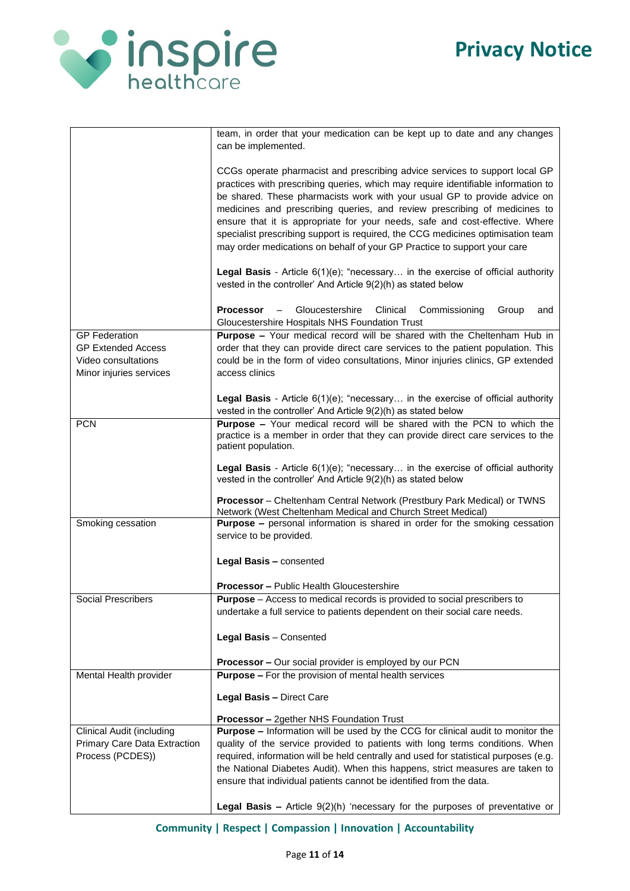

|                                                                                                     | team, in order that your medication can be kept up to date and any changes<br>can be implemented.                                                                                                                                                                                                                                                                                                                                                                                                                                                                         |
|-----------------------------------------------------------------------------------------------------|---------------------------------------------------------------------------------------------------------------------------------------------------------------------------------------------------------------------------------------------------------------------------------------------------------------------------------------------------------------------------------------------------------------------------------------------------------------------------------------------------------------------------------------------------------------------------|
|                                                                                                     | CCGs operate pharmacist and prescribing advice services to support local GP<br>practices with prescribing queries, which may require identifiable information to<br>be shared. These pharmacists work with your usual GP to provide advice on<br>medicines and prescribing queries, and review prescribing of medicines to<br>ensure that it is appropriate for your needs, safe and cost-effective. Where<br>specialist prescribing support is required, the CCG medicines optimisation team<br>may order medications on behalf of your GP Practice to support your care |
|                                                                                                     | <b>Legal Basis</b> - Article $6(1)(e)$ ; "necessary in the exercise of official authority<br>vested in the controller' And Article 9(2)(h) as stated below                                                                                                                                                                                                                                                                                                                                                                                                                |
|                                                                                                     | Gloucestershire<br>Processor<br>Clinical<br>Commissioning<br>Group<br>$\qquad \qquad -$<br>and<br>Gloucestershire Hospitals NHS Foundation Trust                                                                                                                                                                                                                                                                                                                                                                                                                          |
| <b>GP</b> Federation<br><b>GP Extended Access</b><br>Video consultations<br>Minor injuries services | Purpose - Your medical record will be shared with the Cheltenham Hub in<br>order that they can provide direct care services to the patient population. This<br>could be in the form of video consultations, Minor injuries clinics, GP extended<br>access clinics                                                                                                                                                                                                                                                                                                         |
|                                                                                                     | <b>Legal Basis</b> - Article $6(1)(e)$ ; "necessary in the exercise of official authority<br>vested in the controller' And Article 9(2)(h) as stated below                                                                                                                                                                                                                                                                                                                                                                                                                |
| <b>PCN</b>                                                                                          | Purpose - Your medical record will be shared with the PCN to which the<br>practice is a member in order that they can provide direct care services to the<br>patient population.                                                                                                                                                                                                                                                                                                                                                                                          |
|                                                                                                     | <b>Legal Basis</b> - Article $6(1)(e)$ ; "necessary in the exercise of official authority<br>vested in the controller' And Article 9(2)(h) as stated below                                                                                                                                                                                                                                                                                                                                                                                                                |
|                                                                                                     | <b>Processor</b> – Cheltenham Central Network (Prestbury Park Medical) or TWNS<br>Network (West Cheltenham Medical and Church Street Medical)                                                                                                                                                                                                                                                                                                                                                                                                                             |
| Smoking cessation                                                                                   | <b>Purpose -</b> personal information is shared in order for the smoking cessation<br>service to be provided.                                                                                                                                                                                                                                                                                                                                                                                                                                                             |
|                                                                                                     | Legal Basis - consented                                                                                                                                                                                                                                                                                                                                                                                                                                                                                                                                                   |
|                                                                                                     | <b>Processor - Public Health Gloucestershire</b>                                                                                                                                                                                                                                                                                                                                                                                                                                                                                                                          |
| Social Prescribers                                                                                  | <b>Purpose</b> – Access to medical records is provided to social prescribers to<br>undertake a full service to patients dependent on their social care needs.                                                                                                                                                                                                                                                                                                                                                                                                             |
|                                                                                                     | Legal Basis - Consented                                                                                                                                                                                                                                                                                                                                                                                                                                                                                                                                                   |
|                                                                                                     | Processor - Our social provider is employed by our PCN                                                                                                                                                                                                                                                                                                                                                                                                                                                                                                                    |
| Mental Health provider                                                                              | <b>Purpose - For the provision of mental health services</b>                                                                                                                                                                                                                                                                                                                                                                                                                                                                                                              |
|                                                                                                     | Legal Basis - Direct Care<br><b>Processor - 2gether NHS Foundation Trust</b>                                                                                                                                                                                                                                                                                                                                                                                                                                                                                              |
| Clinical Audit (including                                                                           | <b>Purpose - Information will be used by the CCG for clinical audit to monitor the</b>                                                                                                                                                                                                                                                                                                                                                                                                                                                                                    |
| Primary Care Data Extraction                                                                        | quality of the service provided to patients with long terms conditions. When                                                                                                                                                                                                                                                                                                                                                                                                                                                                                              |
| Process (PCDES))                                                                                    | required, information will be held centrally and used for statistical purposes (e.g.                                                                                                                                                                                                                                                                                                                                                                                                                                                                                      |
|                                                                                                     | the National Diabetes Audit). When this happens, strict measures are taken to<br>ensure that individual patients cannot be identified from the data.                                                                                                                                                                                                                                                                                                                                                                                                                      |
|                                                                                                     | <b>Legal Basis -</b> Article $9(2)(h)$ 'necessary for the purposes of preventative or                                                                                                                                                                                                                                                                                                                                                                                                                                                                                     |
|                                                                                                     |                                                                                                                                                                                                                                                                                                                                                                                                                                                                                                                                                                           |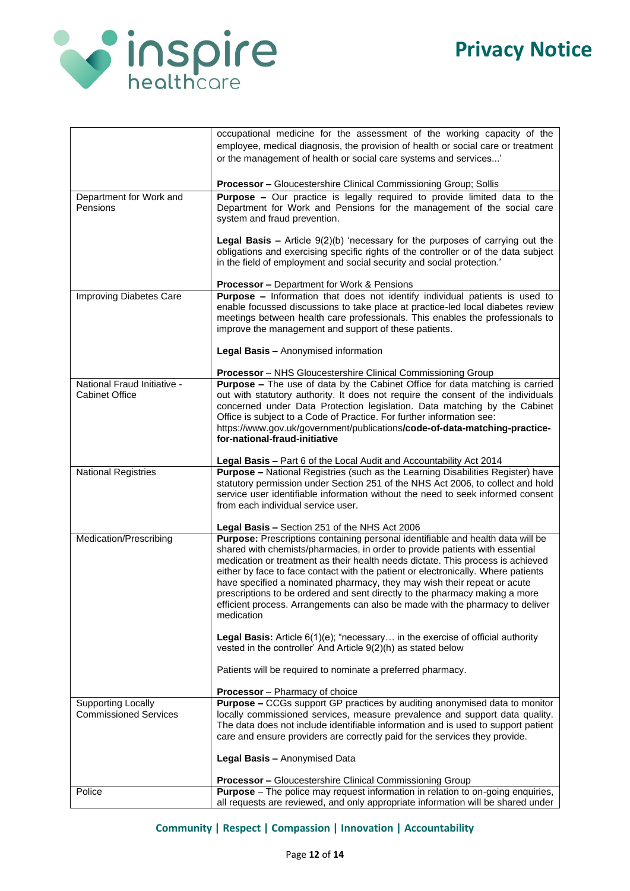

|                                                           | occupational medicine for the assessment of the working capacity of the<br>employee, medical diagnosis, the provision of health or social care or treatment<br>or the management of health or social care systems and services'                                                                                                                                                                                                                                                                                |
|-----------------------------------------------------------|----------------------------------------------------------------------------------------------------------------------------------------------------------------------------------------------------------------------------------------------------------------------------------------------------------------------------------------------------------------------------------------------------------------------------------------------------------------------------------------------------------------|
|                                                           | <b>Processor - Gloucestershire Clinical Commissioning Group; Sollis</b>                                                                                                                                                                                                                                                                                                                                                                                                                                        |
| Department for Work and<br>Pensions                       | <b>Purpose -</b> Our practice is legally required to provide limited data to the<br>Department for Work and Pensions for the management of the social care<br>system and fraud prevention.                                                                                                                                                                                                                                                                                                                     |
|                                                           | <b>Legal Basis -</b> Article $9(2)(b)$ 'necessary for the purposes of carrying out the<br>obligations and exercising specific rights of the controller or of the data subject<br>in the field of employment and social security and social protection.'                                                                                                                                                                                                                                                        |
|                                                           | <b>Processor - Department for Work &amp; Pensions</b>                                                                                                                                                                                                                                                                                                                                                                                                                                                          |
| Improving Diabetes Care                                   | Purpose - Information that does not identify individual patients is used to<br>enable focussed discussions to take place at practice-led local diabetes review<br>meetings between health care professionals. This enables the professionals to<br>improve the management and support of these patients.                                                                                                                                                                                                       |
|                                                           | Legal Basis - Anonymised information                                                                                                                                                                                                                                                                                                                                                                                                                                                                           |
|                                                           | Processor - NHS Gloucestershire Clinical Commissioning Group                                                                                                                                                                                                                                                                                                                                                                                                                                                   |
| National Fraud Initiative -<br><b>Cabinet Office</b>      | <b>Purpose -</b> The use of data by the Cabinet Office for data matching is carried<br>out with statutory authority. It does not require the consent of the individuals<br>concerned under Data Protection legislation. Data matching by the Cabinet<br>Office is subject to a Code of Practice. For further information see:<br>https://www.gov.uk/government/publications/code-of-data-matching-practice-<br>for-national-fraud-initiative                                                                   |
|                                                           | Legal Basis - Part 6 of the Local Audit and Accountability Act 2014                                                                                                                                                                                                                                                                                                                                                                                                                                            |
| <b>National Registries</b>                                | Purpose - National Registries (such as the Learning Disabilities Register) have<br>statutory permission under Section 251 of the NHS Act 2006, to collect and hold<br>service user identifiable information without the need to seek informed consent<br>from each individual service user.                                                                                                                                                                                                                    |
| Medication/Prescribing                                    | Legal Basis - Section 251 of the NHS Act 2006<br>Purpose: Prescriptions containing personal identifiable and health data will be                                                                                                                                                                                                                                                                                                                                                                               |
|                                                           | shared with chemists/pharmacies, in order to provide patients with essential<br>medication or treatment as their health needs dictate. This process is achieved<br>either by face to face contact with the patient or electronically. Where patients<br>have specified a nominated pharmacy, they may wish their repeat or acute<br>prescriptions to be ordered and sent directly to the pharmacy making a more<br>efficient process. Arrangements can also be made with the pharmacy to deliver<br>medication |
|                                                           | <b>Legal Basis:</b> Article $6(1)(e)$ ; "necessary in the exercise of official authority<br>vested in the controller' And Article 9(2)(h) as stated below                                                                                                                                                                                                                                                                                                                                                      |
|                                                           | Patients will be required to nominate a preferred pharmacy.                                                                                                                                                                                                                                                                                                                                                                                                                                                    |
|                                                           | <b>Processor</b> - Pharmacy of choice                                                                                                                                                                                                                                                                                                                                                                                                                                                                          |
| <b>Supporting Locally</b><br><b>Commissioned Services</b> | <b>Purpose - CCGs support GP practices by auditing anonymised data to monitor</b><br>locally commissioned services, measure prevalence and support data quality.<br>The data does not include identifiable information and is used to support patient<br>care and ensure providers are correctly paid for the services they provide.                                                                                                                                                                           |
|                                                           | Legal Basis - Anonymised Data                                                                                                                                                                                                                                                                                                                                                                                                                                                                                  |
|                                                           | <b>Processor - Gloucestershire Clinical Commissioning Group</b>                                                                                                                                                                                                                                                                                                                                                                                                                                                |
| Police                                                    | <b>Purpose</b> – The police may request information in relation to on-going enquiries,<br>all requests are reviewed, and only appropriate information will be shared under                                                                                                                                                                                                                                                                                                                                     |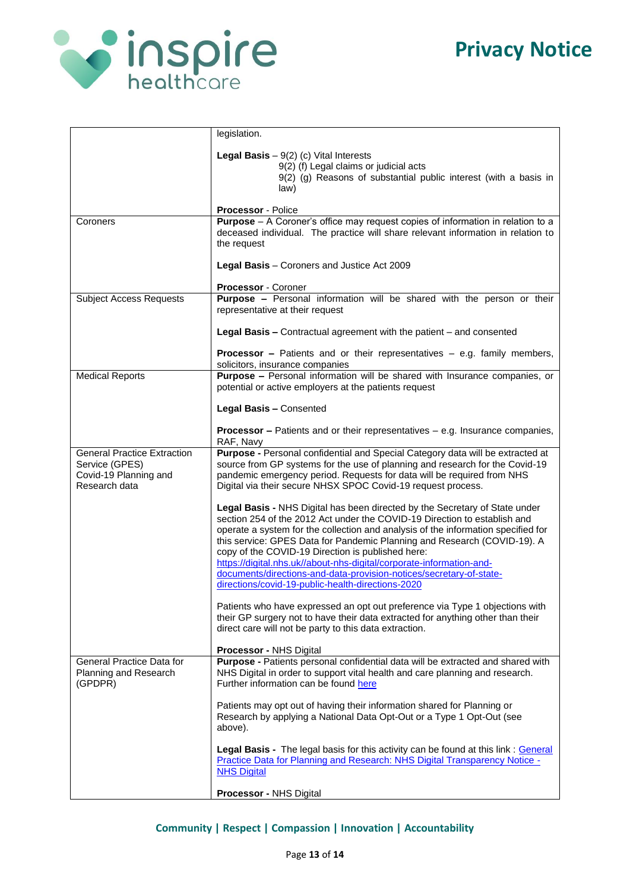

|                                                                                                | legislation.                                                                                                                                                                                                                                                                                                                                                                                                                                                                                                                         |
|------------------------------------------------------------------------------------------------|--------------------------------------------------------------------------------------------------------------------------------------------------------------------------------------------------------------------------------------------------------------------------------------------------------------------------------------------------------------------------------------------------------------------------------------------------------------------------------------------------------------------------------------|
|                                                                                                | <b>Legal Basis</b> $-9(2)$ (c) Vital Interests                                                                                                                                                                                                                                                                                                                                                                                                                                                                                       |
|                                                                                                | 9(2) (f) Legal claims or judicial acts<br>9(2) (g) Reasons of substantial public interest (with a basis in<br>law)                                                                                                                                                                                                                                                                                                                                                                                                                   |
|                                                                                                | Processor - Police                                                                                                                                                                                                                                                                                                                                                                                                                                                                                                                   |
| Coroners                                                                                       | <b>Purpose</b> - A Coroner's office may request copies of information in relation to a<br>deceased individual. The practice will share relevant information in relation to<br>the request                                                                                                                                                                                                                                                                                                                                            |
|                                                                                                | Legal Basis - Coroners and Justice Act 2009                                                                                                                                                                                                                                                                                                                                                                                                                                                                                          |
|                                                                                                | Processor - Coroner                                                                                                                                                                                                                                                                                                                                                                                                                                                                                                                  |
| <b>Subject Access Requests</b>                                                                 | Purpose - Personal information will be shared with the person or their<br>representative at their request                                                                                                                                                                                                                                                                                                                                                                                                                            |
|                                                                                                | Legal Basis - Contractual agreement with the patient - and consented                                                                                                                                                                                                                                                                                                                                                                                                                                                                 |
|                                                                                                | <b>Processor –</b> Patients and or their representatives – e.g. family members,<br>solicitors, insurance companies                                                                                                                                                                                                                                                                                                                                                                                                                   |
| <b>Medical Reports</b>                                                                         | Purpose - Personal information will be shared with Insurance companies, or<br>potential or active employers at the patients request                                                                                                                                                                                                                                                                                                                                                                                                  |
|                                                                                                | Legal Basis - Consented                                                                                                                                                                                                                                                                                                                                                                                                                                                                                                              |
|                                                                                                | <b>Processor - Patients and or their representatives - e.g. Insurance companies,</b><br>RAF, Navy                                                                                                                                                                                                                                                                                                                                                                                                                                    |
| <b>General Practice Extraction</b><br>Service (GPES)<br>Covid-19 Planning and<br>Research data | Purpose - Personal confidential and Special Category data will be extracted at<br>source from GP systems for the use of planning and research for the Covid-19<br>pandemic emergency period. Requests for data will be required from NHS<br>Digital via their secure NHSX SPOC Covid-19 request process.                                                                                                                                                                                                                             |
|                                                                                                | <b>Legal Basis - NHS Digital has been directed by the Secretary of State under</b><br>section 254 of the 2012 Act under the COVID-19 Direction to establish and<br>operate a system for the collection and analysis of the information specified for<br>this service: GPES Data for Pandemic Planning and Research (COVID-19). A<br>copy of the COVID-19 Direction is published here:<br>https://digital.nhs.uk//about-nhs-digital/corporate-information-and-<br>documents/directions-and-data-provision-notices/secretary-of-state- |
|                                                                                                | directions/covid-19-public-health-directions-2020                                                                                                                                                                                                                                                                                                                                                                                                                                                                                    |
|                                                                                                | Patients who have expressed an opt out preference via Type 1 objections with<br>their GP surgery not to have their data extracted for anything other than their<br>direct care will not be party to this data extraction.                                                                                                                                                                                                                                                                                                            |
|                                                                                                | Processor - NHS Digital                                                                                                                                                                                                                                                                                                                                                                                                                                                                                                              |
| General Practice Data for<br>Planning and Research<br>(GPDPR)                                  | Purpose - Patients personal confidential data will be extracted and shared with<br>NHS Digital in order to support vital health and care planning and research.<br>Further information can be found here                                                                                                                                                                                                                                                                                                                             |
|                                                                                                | Patients may opt out of having their information shared for Planning or<br>Research by applying a National Data Opt-Out or a Type 1 Opt-Out (see<br>above).                                                                                                                                                                                                                                                                                                                                                                          |
|                                                                                                | Legal Basis - The legal basis for this activity can be found at this link: General<br>Practice Data for Planning and Research: NHS Digital Transparency Notice -<br><b>NHS Digital</b>                                                                                                                                                                                                                                                                                                                                               |
|                                                                                                | Processor - NHS Digital                                                                                                                                                                                                                                                                                                                                                                                                                                                                                                              |